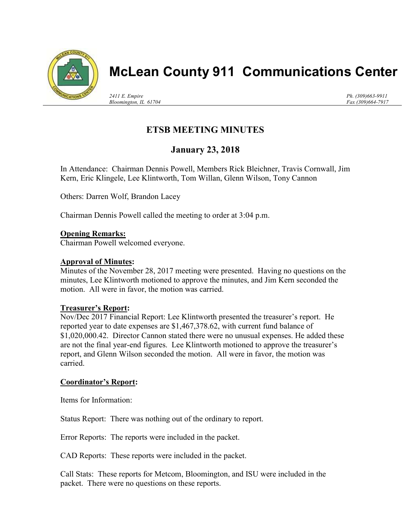

# McLean County 911 Communications Center

2411 E. Empire Bloomington, IL 61704 Ph. (309)663-9911 Fax (309)664-7917

## ETSB MEETING MINUTES

### January 23, 2018

In Attendance: Chairman Dennis Powell, Members Rick Bleichner, Travis Cornwall, Jim Kern, Eric Klingele, Lee Klintworth, Tom Willan, Glenn Wilson, Tony Cannon

Others: Darren Wolf, Brandon Lacey

Chairman Dennis Powell called the meeting to order at 3:04 p.m.

#### Opening Remarks:

Chairman Powell welcomed everyone.

#### Approval of Minutes:

Minutes of the November 28, 2017 meeting were presented. Having no questions on the minutes, Lee Klintworth motioned to approve the minutes, and Jim Kern seconded the motion. All were in favor, the motion was carried.

#### Treasurer's Report:

Nov/Dec 2017 Financial Report: Lee Klintworth presented the treasurer's report. He reported year to date expenses are \$1,467,378.62, with current fund balance of \$1,020,000.42. Director Cannon stated there were no unusual expenses. He added these are not the final year-end figures. Lee Klintworth motioned to approve the treasurer's report, and Glenn Wilson seconded the motion. All were in favor, the motion was carried.

#### Coordinator's Report:

Items for Information:

Status Report: There was nothing out of the ordinary to report.

Error Reports: The reports were included in the packet.

CAD Reports: These reports were included in the packet.

Call Stats: These reports for Metcom, Bloomington, and ISU were included in the packet. There were no questions on these reports.